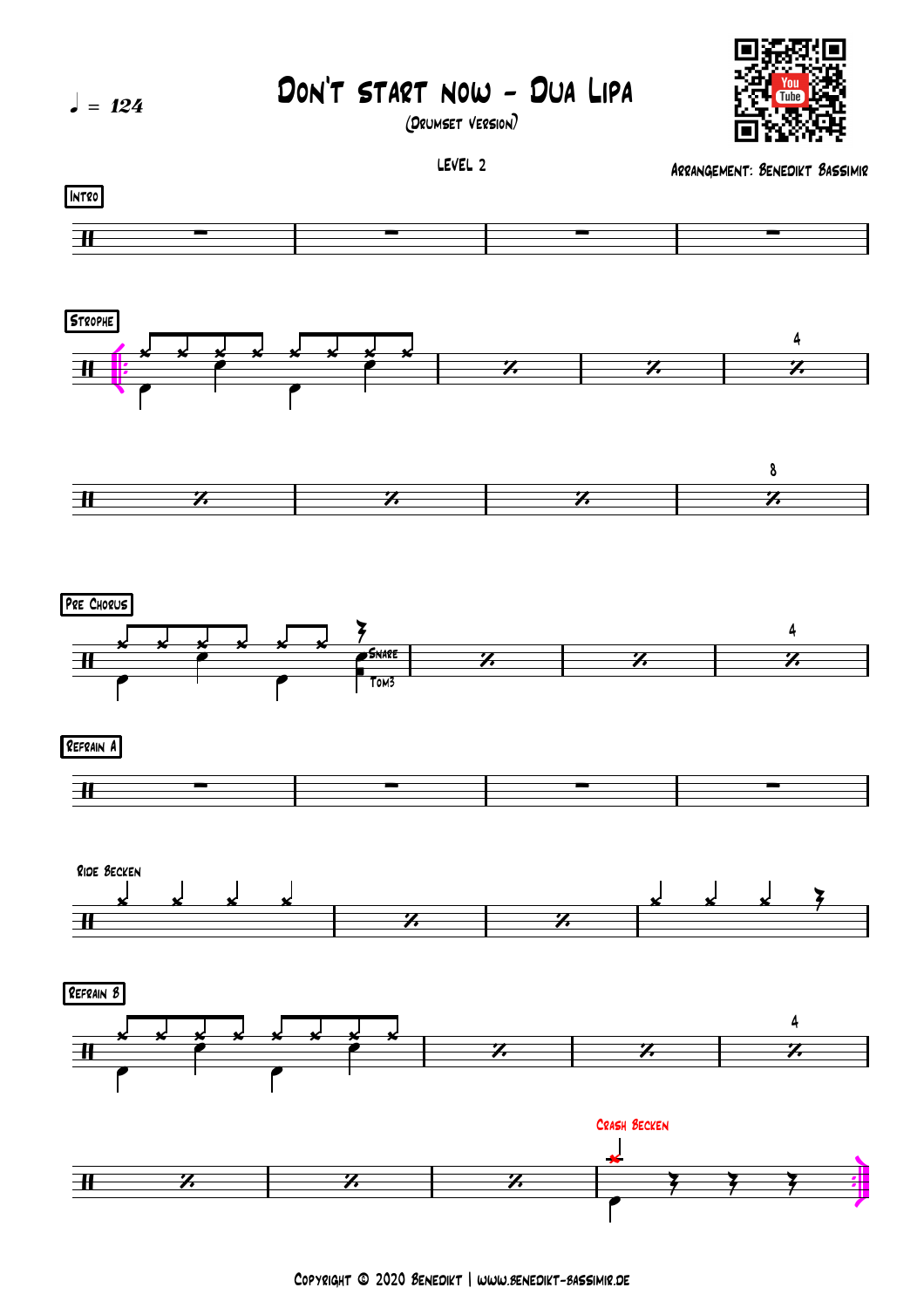

Copyright © 2020 Benedikt | www.benedikt-bassimir.de